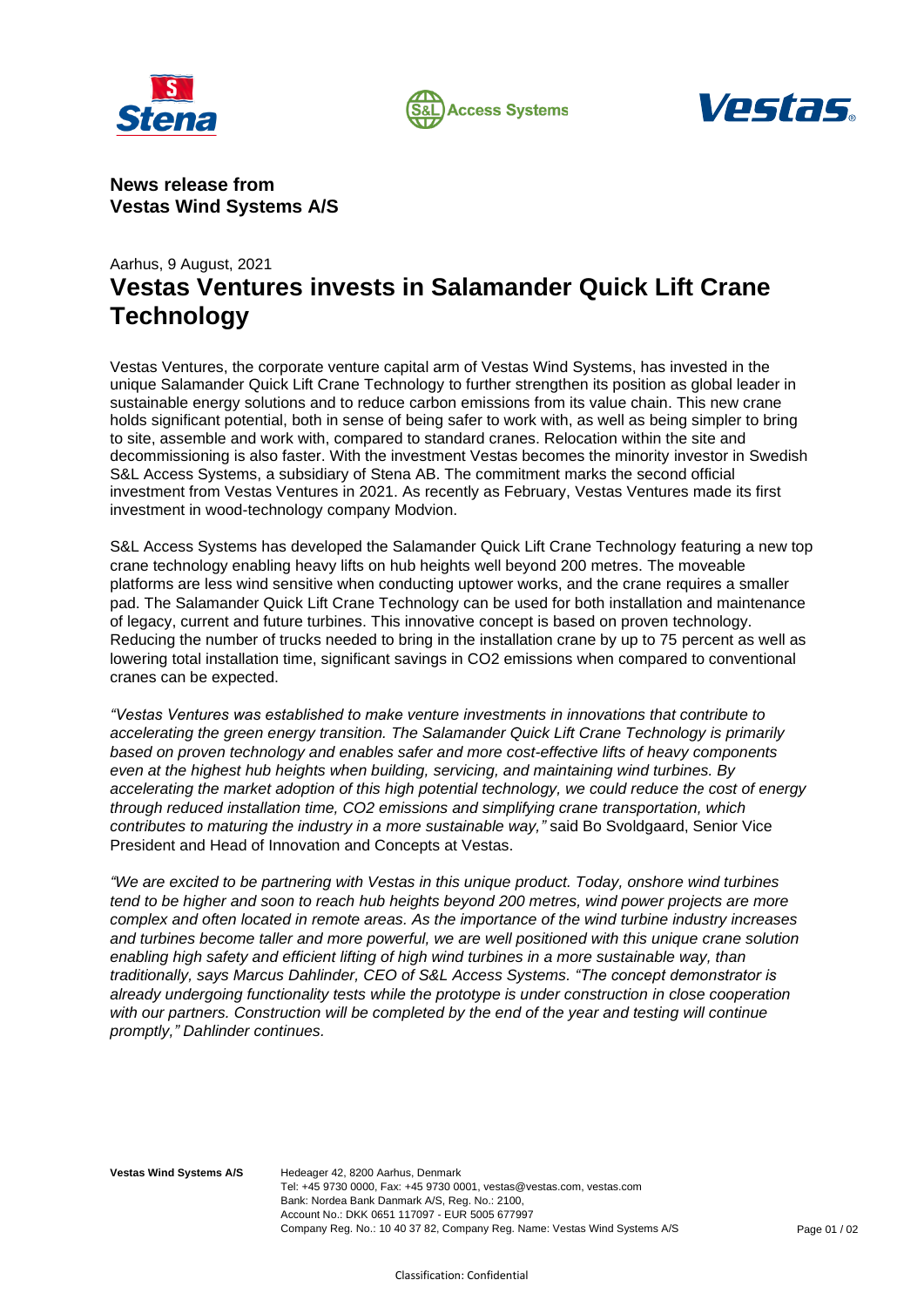





**News release from Vestas Wind Systems A/S**

## Aarhus, 9 August, 2021 **Vestas Ventures invests in Salamander Quick Lift Crane Technology**

Vestas Ventures, the corporate venture capital arm of Vestas Wind Systems, has invested in the unique Salamander Quick Lift Crane Technology to further strengthen its position as global leader in sustainable energy solutions and to reduce carbon emissions from its value chain. This new crane holds significant potential, both in sense of being safer to work with, as well as being simpler to bring to site, assemble and work with, compared to standard cranes. Relocation within the site and decommissioning is also faster. With the investment Vestas becomes the minority investor in Swedish S&L Access Systems, a subsidiary of Stena AB. The commitment marks the second official investment from Vestas Ventures in 2021. As recently as February, Vestas Ventures made its first investment in wood-technology company Modvion.

S&L Access Systems has developed the Salamander Quick Lift Crane Technology featuring a new top crane technology enabling heavy lifts on hub heights well beyond 200 metres. The moveable platforms are less wind sensitive when conducting uptower works, and the crane requires a smaller pad. The Salamander Quick Lift Crane Technology can be used for both installation and maintenance of legacy, current and future turbines. This innovative concept is based on proven technology. Reducing the number of trucks needed to bring in the installation crane by up to 75 percent as well as lowering total installation time, significant savings in CO2 emissions when compared to conventional cranes can be expected.

*"Vestas Ventures was established to make venture investments in innovations that contribute to accelerating the green energy transition. The Salamander Quick Lift Crane Technology is primarily based on proven technology and enables safer and more cost-effective lifts of heavy components even at the highest hub heights when building, servicing, and maintaining wind turbines. By accelerating the market adoption of this high potential technology, we could reduce the cost of energy through reduced installation time, CO2 emissions and simplifying crane transportation, which contributes to maturing the industry in a more sustainable way,"* said Bo Svoldgaard, Senior Vice President and Head of Innovation and Concepts at Vestas.

*"We are excited to be partnering with Vestas in this unique product. Today, onshore wind turbines tend to be higher and soon to reach hub heights beyond 200 metres, wind power projects are more complex and often located in remote areas. As the importance of the wind turbine industry increases and turbines become taller and more powerful, we are well positioned with this unique crane solution enabling high safety and efficient lifting of high wind turbines in a more sustainable way, than traditionally, says Marcus Dahlinder, CEO of S&L Access Systems. "The concept demonstrator is already undergoing functionality tests while the prototype is under construction in close cooperation*  with our partners. Construction will be completed by the end of the year and testing will continue *promptly," Dahlinder continues.*